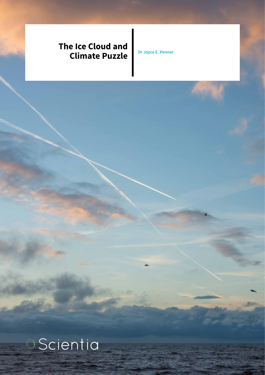# **The Ice Cloud and Climate Puzzle Dr Joyce E. Penner**

**Scientia**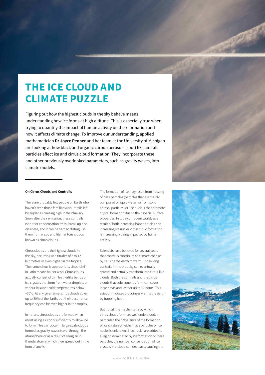# **THE ICE CLOUD AND CLIMATE PUZZLE**

Figuring out how the highest clouds in the sky behave means understanding how ice forms at high altitude. This is especially true when trying to quantify the impact of human activity on their formation and how it affects climate change. To improve our understanding, applied mathematician **Dr Joyce Penner** and her team at the University of Michigan are looking at how black and organic carbon aerosols (soot) like aircraft particles affect ice and cirrus cloud formation. They incorporate these and other previously overlooked parameters, such as gravity waves, into climate models.

### **On Cirrus Clouds and Contrails**

There are probably few people on Earth who haven't seen those familiar vapour trails left by airplanes cruising high in the blue sky. Soon after their emission, these contrails (short for condensation trails) break up and dissipate, and it can be hard to distinguish them from wispy and filamentous clouds known as cirrus clouds.

Cirrus clouds are the highest clouds in the sky, occurring at altitudes of 5 to 12 kilometres or even higher in the tropics. The name cirrus is appropriate, since 'cirri' in Latin means hair or wisp. Cirrus clouds actually consist of thin featherlike bands of ice crystals that form from water droplets or vapour in super-cold temperatures below −30°C. At any given time, cirrus clouds cover up to 30% of the Earth, but their occurrence frequency can be even higher in the tropics.

In nature, cirrus clouds are formed when moist rising air cools sufficiently to allow ice to form. This can occur in large-scale clouds formed as gravity waves travel through the atmosphere or as a result of rising air in thunderstorms, which then spread out in the form of anvils.

The formation of ice may result from freezing of haze particles (particles that are mainly composed of liquid water) or from solid aerosol particles (or 'ice nuclei') that promote crystal formation due to their special surface properties. In today's modern world, as a result of both increasing haze particles and increasing ice nuclei, cirrus cloud formation is increasingly being impacted by human activity.

Scientists have believed for several years that contrails contribute to climate change by causing the earth to warm. Those long contrails in the blue sky can eventually spread and actually transform into cirrus-like clouds. Both the contrails and the cirrus clouds that subsequently form can cover large areas and last for up to 17 hours. This aviation-induced cloudiness warms the earth by trapping heat.

But not all the mechanisms by which cirrus clouds form are well understood. In particular, the prevalence of the formation of ice crystals on either haze particles or ice nuclei is unknown. If ice nuclei are added to a region dominated by ice formation on haze particles, the number concentration of ice crystals in a cloud can decrease, causing the





**SALES** 

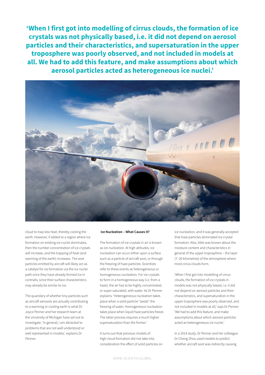**'When I first got into modelling of cirrus clouds, the formation of ice crystals was not physically based, i.e. it did not depend on aerosol particles and their characteristics, and supersaturation in the upper troposphere was poorly observed, and not included in models at all. We had to add this feature, and make assumptions about which aerosol particles acted as heterogeneous ice nuclei.'**



cloud to trap less heat, thereby cooling the earth. However, if added to a region where ice formation on existing ice nuclei dominates, then the number concentration of ice crystals will increase, and the trapping of heat (and warming of the earth) increases. The soot particles emitted by aircraft will likely act as a catalyst for ice formation via the ice nuclei path once they have already formed ice in contrails, since their surface characteristics may already be similar to ice.

The quandary of whether tiny particles such as aircraft aerosols are actually contributing to a warming or cooling earth is what Dr Joyce Penner and her research team at the University of Michigan have set out to investigate. 'In general, I am attracted to problems that are not well understood or well represented in models,' explains Dr Penner.

#### **Ice Nucleation – What Causes It?**

The formation of ice crystals in air is known as ice nucleation. At high altitudes, ice nucleation can occur either upon a surface such as a particle of aircraft soot, or through the freezing of haze particles. Scientists refer to these events as heterogeneous or homogeneous nucleation. For ice crystals to form in a homogeneous way (i.e. from a haze), the air has to be highly concentrated, or super saturated, with water. As Dr Penner explains: 'Heterogeneous nucleation takes place when a solid particle "seeds" the freezing of water. Homogeneous nucleation takes place when liquid haze particles freeze. The latter process requires a much higher supersaturation than the former.'

It turns out that previous models of high cloud formation did not take into consideration the effect of solid particles on ice nucleation, and it was generally accepted that haze particles dominated ice crystal formation. Also, little was known about the moisture content and characteristics in general of the upper troposphere – the layer (7–20 kilometres) of the atmosphere where most cirrus clouds form.

'When I first got into modelling of cirrus clouds, the formation of ice crystals in models was not physically based, i.e. it did not depend on aerosol particles and their characteristics, and supersaturation in the upper troposphere was poorly observed, and not included in models at all,' says Dr Penner. 'We had to add this feature, and make assumptions about which aerosol particles acted as heterogeneous ice nuclei.'

In a 2014 study, Dr Penner and her colleague Dr Cheng Zhou used models to predict whether aircraft soot was indirectly causing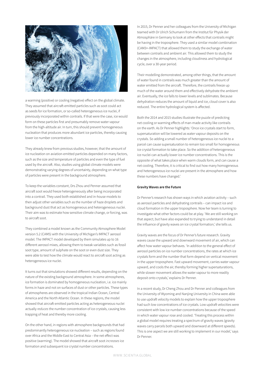

a warming (positive) or cooling (negative) effect on the global climate. They assumed that aircraft-emitted particles such as soot could act as seeds for ice formation, or so-called heterogeneous ice nuclei, if previously incorporated within contrails. If that were the case, ice would form on these particles first and presumably remove water vapour from the high-altitude air. In turn, this should prevent homogeneous nucleation that produces more abundant ice particles, thereby causing lower ice number concentrations.

They already knew from previous studies, however, that the amount of ice nucleation on aviation-emitted particles depended on many factors, such as the size and temperature of particles and even the type of fuel used by the aircraft. Also, studies using global climate models were demonstrating varying degrees of uncertainty, depending on what type of particles were present in the background atmosphere.

To keep the variables constant, Drs Zhou and Penner assumed that aircraft soot would freeze heterogeneously after being incorporated into a contrail. They used both established and in-house models to then adjust other variables such as the number of haze droplets and background dust that act as homogeneous and heterogeneous nuclei. Their aim was to estimate how sensitive climate change, or forcing, was to aircraft soot.

They combined a model known as the Community Atmosphere Model version 5.2 (CAM5) with the University of Michigan's IMPACT aerosol model. The IMPACT model developed by them simulates up to 16 different aerosol mixes, allowing them to tweak variables such as fossil soot type, amount of sulphate on the soot or even dust size. They were able to test how the climate would react to aircraft soot acting as heterogeneous ice nuclei.

It turns out that simulations showed different results, depending on the nature of the existing background atmosphere. In some atmospheres, ice formation is dominated by homogeneous nucleation, i.e. ice mainly forms in haze and not on surfaces of dust or other particles. These types of atmospheres are observed in the tropical Indian Ocean, Central America and the North Atlantic Ocean. In these regions, the model showed that aircraft-emitted particles acting as heterogeneous nuclei actually *reduces* the number concentration of ice crystals, causing less trapping of heat and thereby more cooling.

On the other hand, in regions with atmosphere backgrounds that had predominantly heterogeneous ice nucleation – such as regions found over Africa and the Middle East to Central Asia – the net effect was positive (warming). The model showed that aircraft soot *increases* ice formation and subsequent ice crystal number concentrations.

In 2015, Dr Penner and her colleagues from the University of Michigan teamed with Dr Ulrich Schumann from the Institut für Physik der Atmosphäre in Germany to look at other effects that contrails might be having in the troposphere. They used a similar model combination (CAM3+-IMPACT) that allowed them to study the exchange of water between contrails and ambient air. This allowed them to study the changes in the atmosphere, including cloudiness and hydrological cycle, over a 30-year period.

Their modelling demonstrated, among other things, that the amount of water found in contrails was much greater than the amount of water emitted from the aircraft. Therefore, the contrails freeze up much of the water around them and effectively dehydrate the ambient air. Eventually, the ice falls to lower levels and sublimates. Because dehydration reduces the amount of liquid and ice, cloud cover is also reduced. The entire hydrological system is affected.

Both the 2014 and 2015 studies illustrate the puzzle of predicting net cooling or warming effects of man-made activity like contrails on the earth. As Dr Penner highlights: 'Once ice crystals start to form, supersaturation will be lowered as water vapour deposits on the crystals. So adding a small number of heterogeneous ice nuclei to a parcel can cause supersaturation to remain too small for homogeneous ice crystal formation to take place. So the addition of heterogeneous ice nuclei can actually lower ice number concentrations. This is the opposite of what takes place when warm clouds form, and can cause a net cooling. Therefore, it is critical to find out how many homogeneous and heterogeneous ice nuclei are present in the atmosphere and how these numbers have changed.'

## **Gravity Waves are the Future**

Dr Penner's research has shown ways in which aviation activity – such as aerosol particles and dehydrating contrails – can impact ice and cloud formation in the upper troposphere. Now her team is turning to investigate what other factors could be at play. 'We are still working on that aspect, but have also expanded to trying to understand in detail the influence of gravity waves on ice crystal formation,' she tells us.

Gravity waves are the focus of Dr Penner's future research. Gravity waves cause the upward and downward movement of air, which can affect how water vapour behaves. 'In addition to the general effect of aerosol particles on ice number concentrations, the rates at which ice crystals form and the number that form depend on vertical movement in the upper troposphere. Fast upward movement, carries water vapour upward, and cools the air, thereby forming higher supersaturations, while slower movement allows the water vapour to more readily deposit onto crystals,' explains Dr Penner.

In a recent study, Dr Cheng Zhou and Dr Penner and colleagues from the University of Wyoming and Nanjing University in China were able to use updraft velocity models to explain how the upper troposphere had such low concentrations of ice crystals. Low updraft velocities were consistent with low ice number concentrations because of the speed in which water vapour rose and cooled. 'Treating this process within a global model requires treating a spectrum of gravity waves (gravity waves carry parcels both upward and downward at different speeds). This is one aspect we are still working to implement in our model,' says Dr Penner.